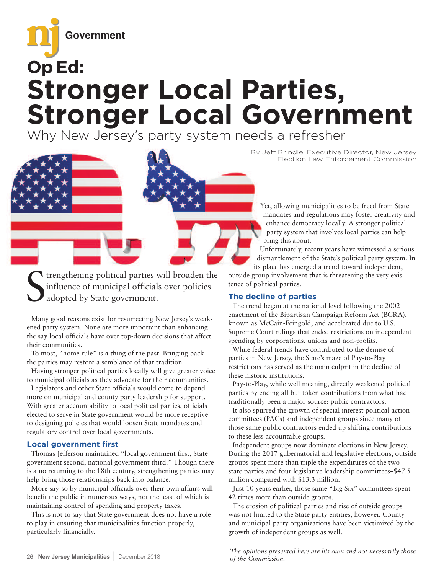

# **Stronger Local Parties, Stronger Local Government**

Why New Jersey's party system needs a refresher



S trengthening political parties will broaden the influence of municipal officials over policies adopted by State government.

Many good reasons exist for resurrecting New Jersey's weakened party system. None are more important than enhancing the say local officials have over top-down decisions that affect their communities.

To most, "home rule" is a thing of the past. Bringing back the parties may restore a semblance of that tradition.

Having stronger political parties locally will give greater voice to municipal officials as they advocate for their communities.

Legislators and other State officials would come to depend more on municipal and county party leadership for support. With greater accountability to local political parties, officials elected to serve in State government would be more receptive to designing policies that would loosen State mandates and regulatory control over local governments.

## **Local government first**

Thomas Jefferson maintained "local government first, State government second, national government third." Though there is a no returning to the 18th century, strengthening parties may help bring those relationships back into balance.

More say-so by municipal officials over their own affairs will benefit the public in numerous ways, not the least of which is maintaining control of spending and property taxes.

This is not to say that State government does not have a role to play in ensuring that municipalities function properly, particularly financially.

By Jeff Brindle, Executive Director, New Jersey Election Law Enforcement Commission

Yet, allowing municipalities to be freed from State mandates and regulations may foster creativity and enhance democracy locally. A stronger political party system that involves local parties can help bring this about.

Unfortunately, recent years have witnessed a serious dismantlement of the State's political party system. In

its place has emerged a trend toward independent, outside group involvement that is threatening the very existence of political parties.

# **The decline of parties**

The trend began at the national level following the 2002 enactment of the Bipartisan Campaign Reform Act (BCRA), known as McCain-Feingold, and accelerated due to U.S. Supreme Court rulings that ended restrictions on independent spending by corporations, unions and non-profits.

While federal trends have contributed to the demise of parties in New Jersey, the State's maze of Pay-to-Play restrictions has served as the main culprit in the decline of these historic institutions.

Pay-to-Play, while well meaning, directly weakened political parties by ending all but token contributions from what had traditionally been a major source: public contractors.

It also spurred the growth of special interest political action committees (PACs) and independent groups since many of those same public contractors ended up shifting contributions to these less accountable groups.

Independent groups now dominate elections in New Jersey. During the 2017 gubernatorial and legislative elections, outside groups spent more than triple the expenditures of the two state parties and four legislative leadership committees–\$47.5 million compared with \$13.3 million.

Just 10 years earlier, those same "Big Six" committees spent 42 times more than outside groups.

The erosion of political parties and rise of outside groups was not limited to the State party entities, however. County and municipal party organizations have been victimized by the growth of independent groups as well.

*The opinions presented here are his own and not necessarily those of the Commission.*